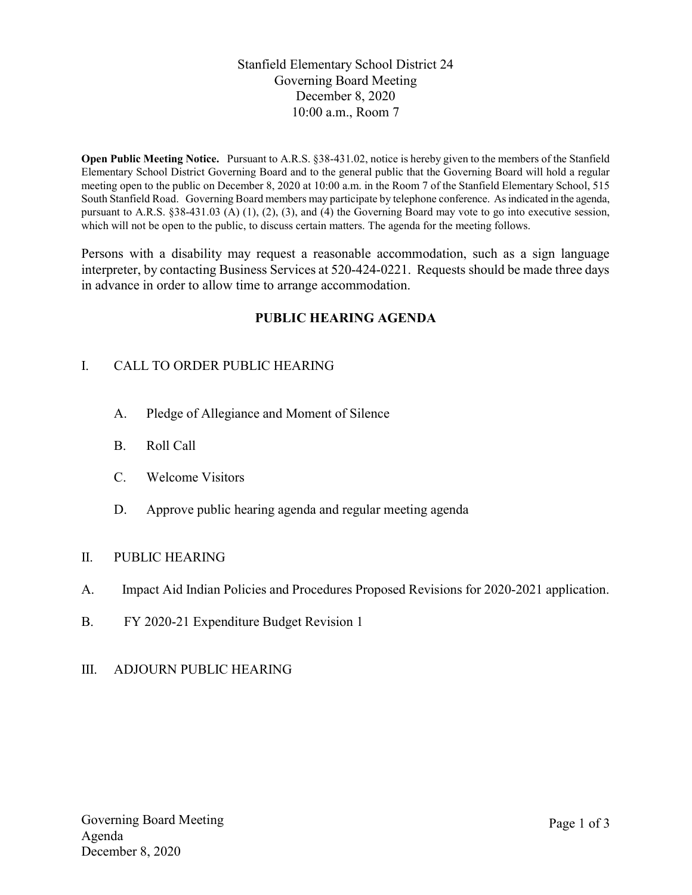Stanfield Elementary School District 24 Governing Board Meeting December 8, 2020 10:00 a.m., Room 7

Open Public Meeting Notice. Pursuant to A.R.S. §38-431.02, notice is hereby given to the members of the Stanfield Elementary School District Governing Board and to the general public that the Governing Board will hold a regular meeting open to the public on December 8, 2020 at 10:00 a.m. in the Room 7 of the Stanfield Elementary School, 515 South Stanfield Road. Governing Board members may participate by telephone conference. As indicated in the agenda, pursuant to A.R.S. §38-431.03 (A) (1), (2), (3), and (4) the Governing Board may vote to go into executive session, which will not be open to the public, to discuss certain matters. The agenda for the meeting follows.

Persons with a disability may request a reasonable accommodation, such as a sign language interpreter, by contacting Business Services at 520-424-0221. Requests should be made three days in advance in order to allow time to arrange accommodation.

# PUBLIC HEARING AGENDA

# I. CALL TO ORDER PUBLIC HEARING

- A. Pledge of Allegiance and Moment of Silence
- B. Roll Call
- C. Welcome Visitors
- D. Approve public hearing agenda and regular meeting agenda

### II. PUBLIC HEARING

- A. Impact Aid Indian Policies and Procedures Proposed Revisions for 2020-2021 application.
- B. FY 2020-21 Expenditure Budget Revision 1
- III. ADJOURN PUBLIC HEARING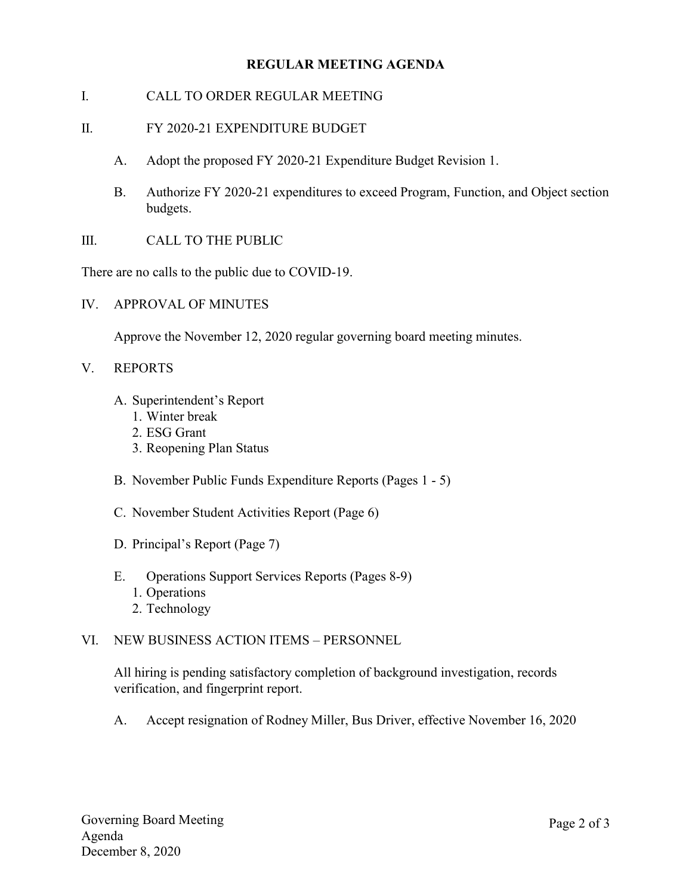## REGULAR MEETING AGENDA

- I. CALL TO ORDER REGULAR MEETING
- II. FY 2020-21 EXPENDITURE BUDGET
	- A. Adopt the proposed FY 2020-21 Expenditure Budget Revision 1.
	- B. Authorize FY 2020-21 expenditures to exceed Program, Function, and Object section budgets.
- III. CALL TO THE PUBLIC

There are no calls to the public due to COVID-19.

IV. APPROVAL OF MINUTES

Approve the November 12, 2020 regular governing board meeting minutes.

- V. REPORTS
	- A. Superintendent's Report
		- 1. Winter break
		- 2. ESG Grant
		- 3. Reopening Plan Status
	- B. November Public Funds Expenditure Reports (Pages 1 5)
	- C. November Student Activities Report (Page 6)
	- D. Principal's Report (Page 7)
	- E. Operations Support Services Reports (Pages 8-9)
		- 1. Operations
		- 2. Technology

### VI. NEW BUSINESS ACTION ITEMS – PERSONNEL

All hiring is pending satisfactory completion of background investigation, records verification, and fingerprint report.

A. Accept resignation of Rodney Miller, Bus Driver, effective November 16, 2020